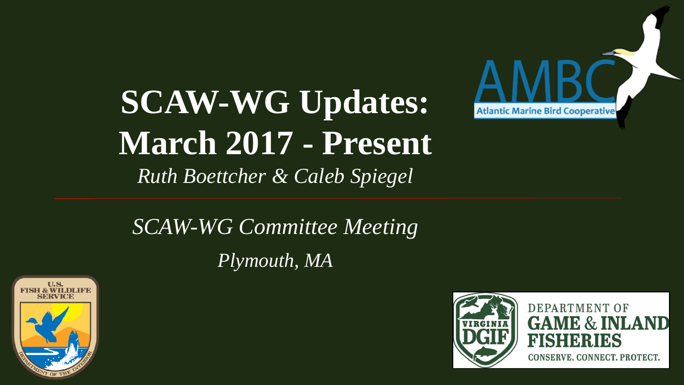# **SCAW-WG Updates: March 2017 - Present**  *Ruth Boettcher & Caleb Spiegel*



## *SCAW-WG Committee Meeting Plymouth, MA*





**DEPARTMENT OF GAME & INLAND** FISHERIES

CONSERVE. CONNECT. PROTECT.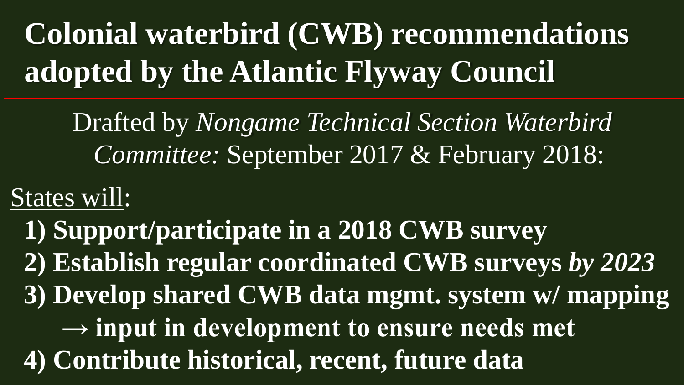# **Colonial waterbird (CWB) recommendations adopted by the Atlantic Flyway Council**

Drafted by *Nongame Technical Section Waterbird Committee:* September 2017 & February 2018:

States will:

**1) Support/participate in a 2018 CWB survey 2) Establish regular coordinated CWB surveys** *by 2023* **3) Develop shared CWB data mgmt. system w/ mapping → input in development to ensure needs met 4) Contribute historical, recent, future data**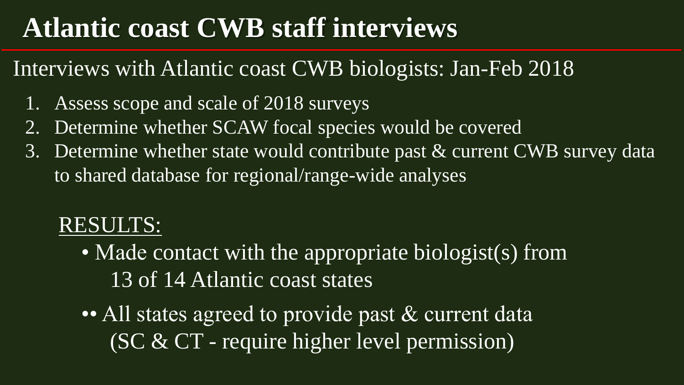## **Atlantic coast CWB staff interviews**

### Interviews with Atlantic coast CWB biologists: Jan-Feb 2018

- 1. Assess scope and scale of 2018 surveys
- 2. Determine whether SCAW focal species would be covered
- 3. Determine whether state would contribute past & current CWB survey data to shared database for regional/range-wide analyses

### RESULTS:

- Made contact with the appropriate biologist(s) from 13 of 14 Atlantic coast states
- •• All states agreed to provide past & current data (SC & CT - require higher level permission)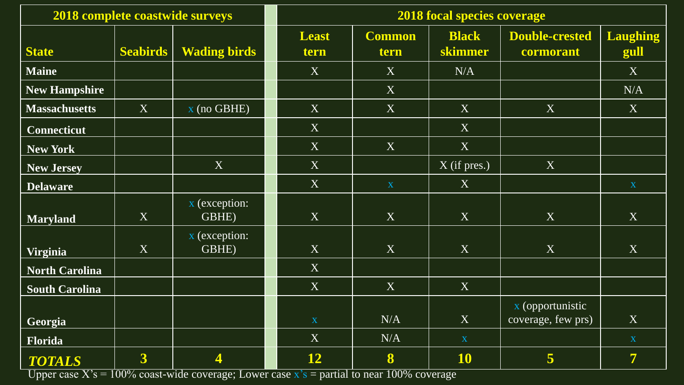| <b>2018 complete coastwide surveys</b> |                         |                                                                                                                                                                                                                                                                                                                        | <b>2018 focal species coverage</b> |                         |                           |                                        |                         |
|----------------------------------------|-------------------------|------------------------------------------------------------------------------------------------------------------------------------------------------------------------------------------------------------------------------------------------------------------------------------------------------------------------|------------------------------------|-------------------------|---------------------------|----------------------------------------|-------------------------|
| <b>State</b>                           | <b>Seabirds</b>         | <b>Wading birds</b>                                                                                                                                                                                                                                                                                                    | <b>Least</b><br>tern               | <b>Common</b><br>tern   | <b>Black</b><br>skimmer   | <b>Double-crested</b><br>cormorant     | <b>Laughing</b><br>gull |
| <b>Maine</b>                           |                         |                                                                                                                                                                                                                                                                                                                        | X                                  | X                       | N/A                       |                                        | X                       |
| <b>New Hampshire</b>                   |                         |                                                                                                                                                                                                                                                                                                                        |                                    | X                       |                           |                                        | N/A                     |
| <b>Massachusetts</b>                   | X                       | $x$ (no GBHE)                                                                                                                                                                                                                                                                                                          | X                                  | X                       | X                         | X                                      | X                       |
| <b>Connecticut</b>                     |                         |                                                                                                                                                                                                                                                                                                                        | X                                  |                         | X                         |                                        |                         |
| <b>New York</b>                        |                         |                                                                                                                                                                                                                                                                                                                        | X                                  | X                       | $\mathbf{X}$              |                                        |                         |
| <b>New Jersey</b>                      |                         | X                                                                                                                                                                                                                                                                                                                      | X                                  |                         | $\overline{X}$ (if pres.) | X                                      |                         |
| <b>Delaware</b>                        |                         |                                                                                                                                                                                                                                                                                                                        | X                                  | $\overline{\mathbf{X}}$ | X                         |                                        | $\mathbf{X}$            |
| <b>Maryland</b>                        | X                       | x (exception:<br>GBHE)                                                                                                                                                                                                                                                                                                 | X                                  | X                       | X                         | X                                      | X                       |
| <b>Virginia</b>                        | X                       | x (exception:<br>GBHE)                                                                                                                                                                                                                                                                                                 | X                                  | X                       | X                         | X                                      | X                       |
| <b>North Carolina</b>                  |                         |                                                                                                                                                                                                                                                                                                                        | X                                  |                         |                           |                                        |                         |
| <b>South Carolina</b>                  |                         |                                                                                                                                                                                                                                                                                                                        | X                                  | X                       | X                         |                                        |                         |
| Georgia                                |                         |                                                                                                                                                                                                                                                                                                                        | $\mathbf X$                        | N/A                     | X                         | x (opportunistic<br>coverage, few prs) | X                       |
| Florida                                |                         |                                                                                                                                                                                                                                                                                                                        | $\boldsymbol{X}$                   | N/A                     | $\mathbf X$               |                                        | $\mathbf{X}$            |
| <b>TOTALS</b>                          | $\overline{\mathbf{3}}$ | 4<br>$\frac{1}{2}$ $\frac{1}{2}$ $\frac{1000}{2225}$ $\frac{1000}{2225}$ $\frac{1}{2}$ $\frac{1}{2}$ $\frac{1}{2}$ $\frac{1}{2}$ $\frac{1}{2}$ $\frac{1}{2}$ $\frac{1}{2}$ $\frac{1}{2}$ $\frac{1}{2}$ $\frac{1}{2}$ $\frac{1}{2}$ $\frac{1}{2}$ $\frac{1}{2}$ $\frac{1}{2}$ $\frac{1}{2}$ $\frac{1}{2}$ $\frac{1}{2}$ | 12                                 | 8                       | 10                        | $\overline{\mathbf{5}}$                | $\overline{7}$          |

Upper case  $X$ 's = 100% coast-wide coverage; Lower case  $x$ 's = partial to near 100% coverage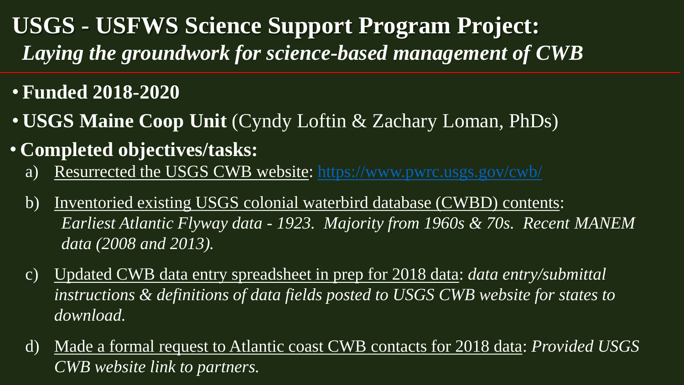### **USGS - USFWS Science Support Program Project:**  *Laying the groundwork for science-based management of CWB*

#### • **Funded 2018-2020**

- **USGS Maine Coop Unit** (Cyndy Loftin & Zachary Loman, PhDs)
- **Completed objectives/tasks:**
	- a) Resurrected the USGS CWB website:<https://www.pwrc.usgs.gov/cwb/>
	- b) Inventoried existing USGS colonial waterbird database (CWBD) contents: *Earliest Atlantic Flyway data - 1923. Majority from 1960s & 70s. Recent MANEM data (2008 and 2013).*
	- c) Updated CWB data entry spreadsheet in prep for 2018 data: *data entry/submittal instructions & definitions of data fields posted to USGS CWB website for states to download.*
	- d) Made a formal request to Atlantic coast CWB contacts for 2018 data: *Provided USGS CWB website link to partners.*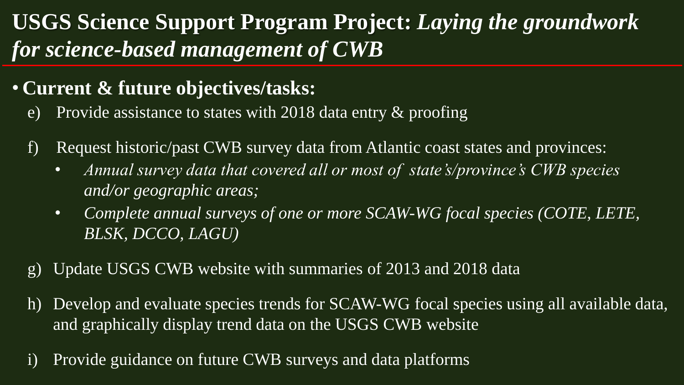### **USGS Science Support Program Project:** *Laying the groundwork for science-based management of CWB*

#### • **Current & future objectives/tasks:**

- e) Provide assistance to states with 2018 data entry & proofing
- f) Request historic/past CWB survey data from Atlantic coast states and provinces:
	- *Annual survey data that covered all or most of state's/province's CWB species and/or geographic areas;*
	- *Complete annual surveys of one or more SCAW-WG focal species (COTE, LETE, BLSK, DCCO, LAGU)*
- g) Update USGS CWB website with summaries of 2013 and 2018 data
- h) Develop and evaluate species trends for SCAW-WG focal species using all available data, and graphically display trend data on the USGS CWB website
- i) Provide guidance on future CWB surveys and data platforms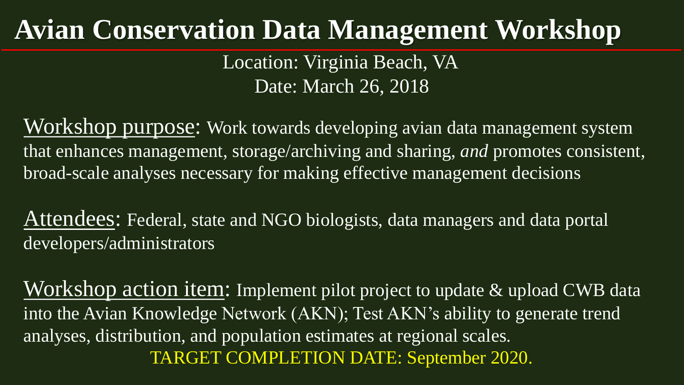## **Avian Conservation Data Management Workshop**

Location: Virginia Beach, VA Date: March 26, 2018

Workshop purpose: Work towards developing avian data management system that enhances management, storage/archiving and sharing, *and* promotes consistent, broad-scale analyses necessary for making effective management decisions

Attendees: Federal, state and NGO biologists, data managers and data portal developers/administrators

Workshop action item: Implement pilot project to update & upload CWB data into the Avian Knowledge Network (AKN); Test AKN's ability to generate trend analyses, distribution, and population estimates at regional scales. TARGET COMPLETION DATE: September 2020.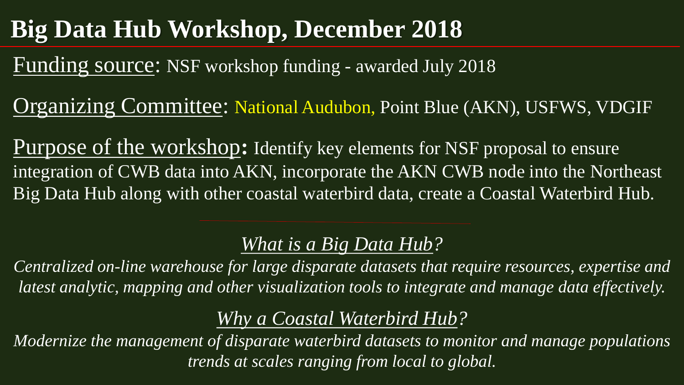## **Big Data Hub Workshop, December 2018**

Funding source: NSF workshop funding - awarded July 2018

Organizing Committee: National Audubon, Point Blue (AKN), USFWS, VDGIF

Purpose of the workshop**:** Identify key elements for NSF proposal to ensure integration of CWB data into AKN, incorporate the AKN CWB node into the Northeast Big Data Hub along with other coastal waterbird data, create a Coastal Waterbird Hub.

### *What is a Big Data Hub?*

*Centralized on-line warehouse for large disparate datasets that require resources, expertise and latest analytic, mapping and other visualization tools to integrate and manage data effectively.* 

*Why a Coastal Waterbird Hub?*

*Modernize the management of disparate waterbird datasets to monitor and manage populations trends at scales ranging from local to global.*